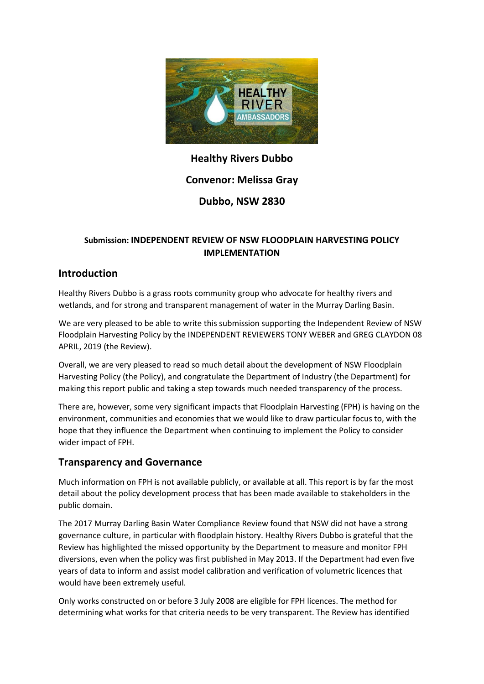

# **Healthy Rivers Dubbo**

# **Convenor: Melissa Gray**

# **Dubbo, NSW 2830**

#### **Submission: INDEPENDENT REVIEW OF NSW FLOODPLAIN HARVESTING POLICY IMPLEMENTATION**

## **Introduction**

Healthy Rivers Dubbo is a grass roots community group who advocate for healthy rivers and wetlands, and for strong and transparent management of water in the Murray Darling Basin.

We are very pleased to be able to write this submission supporting the Independent Review of NSW Floodplain Harvesting Policy by the INDEPENDENT REVIEWERS TONY WEBER and GREG CLAYDON 08 APRIL, 2019 (the Review).

Overall, we are very pleased to read so much detail about the development of NSW Floodplain Harvesting Policy (the Policy), and congratulate the Department of Industry (the Department) for making this report public and taking a step towards much needed transparency of the process.

There are, however, some very significant impacts that Floodplain Harvesting (FPH) is having on the environment, communities and economies that we would like to draw particular focus to, with the hope that they influence the Department when continuing to implement the Policy to consider wider impact of FPH.

# **Transparency and Governance**

Much information on FPH is not available publicly, or available at all. This report is by far the most detail about the policy development process that has been made available to stakeholders in the public domain.

The 2017 Murray Darling Basin Water Compliance Review found that NSW did not have a strong governance culture, in particular with floodplain history. Healthy Rivers Dubbo is grateful that the Review has highlighted the missed opportunity by the Department to measure and monitor FPH diversions, even when the policy was first published in May 2013. If the Department had even five years of data to inform and assist model calibration and verification of volumetric licences that would have been extremely useful.

Only works constructed on or before 3 July 2008 are eligible for FPH licences. The method for determining what works for that criteria needs to be very transparent. The Review has identified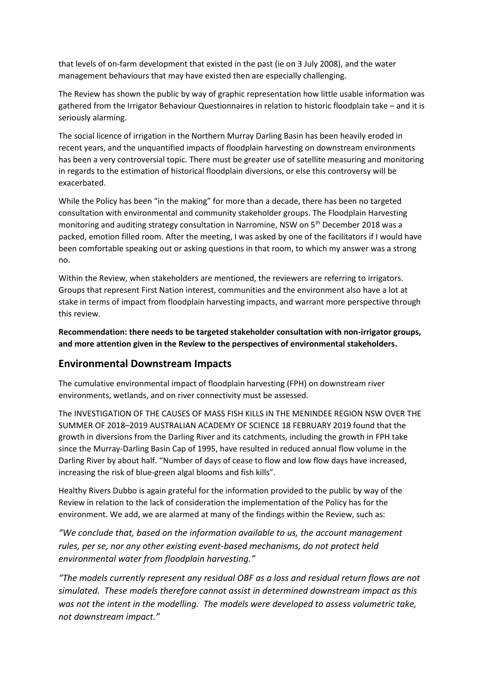that levels of on-farm development that existed in the past (ie on 3 July 2008), and the water management behaviours that may have existed then are especially challenging.

The Review has shown the public by way of graphic representation how little usable information was gathered from the Irrigator Behaviour Questionnaires in relation to historic floodplain take – and it is seriously alarming.

The social licence of irrigation in the Northern Murray Darling Basin has been heavily eroded in recent years, and the unquantified impacts of floodplain harvesting on downstream environments has been a very controversial topic. There must be greater use of satellite measuring and monitoring in regards to the estimation of historical floodplain diversions, or else this controversy will be exacerbated.

While the Policy has been "in the making" for more than a decade, there has been no targeted consultation with environmental and community stakeholder groups. The Floodplain Harvesting monitoring and auditing strategy consultation in Narromine, NSW on 5<sup>th</sup> December 2018 was a packed, emotion filled room. After the meeting, I was asked by one of the facilitators if I would have been comfortable speaking out or asking questions in that room, to which my answer was a strong no.

Within the Review, when stakeholders are mentioned, the reviewers are referring to irrigators. Groups that represent First Nation interest, communities and the environment also have a lot at stake in terms of impact from floodplain harvesting impacts, and warrant more perspective through this review.

**Recommendation: there needs to be targeted stakeholder consultation with non-irrigator groups, and more attention given in the Review to the perspectives of environmental stakeholders.** 

### **Environmental Downstream Impacts**

The cumulative environmental impact of floodplain harvesting (FPH) on downstream river environments, wetlands, and on river connectivity must be assessed.

The INVESTIGATION OF THE CAUSES OF MASS FISH KILLS IN THE MENINDEE REGION NSW OVER THE SUMMER OF 2018–2019 AUSTRALIAN ACADEMY OF SCIENCE 18 FEBRUARY 2019 found that the growth in diversions from the Darling River and its catchments, including the growth in FPH take since the Murray-Darling Basin Cap of 1995, have resulted in reduced annual flow volume in the Darling River by about half. "Number of days of cease to flow and low flow days have increased, increasing the risk of blue-green algal blooms and fish kills".

Healthy Rivers Dubbo is again grateful for the information provided to the public by way of the Review in relation to the lack of consideration the implementation of the Policy has for the environment. We add, we are alarmed at many of the findings within the Review, such as:

*"We conclude that, based on the information available to us, the account management rules, per se, nor any other existing event-based mechanisms, do not protect held environmental water from floodplain harvesting."*

*"The models currently represent any residual OBF as a loss and residual return flows are not simulated. These models therefore cannot assist in determined downstream impact as this was not the intent in the modelling. The models were developed to assess volumetric take, not downstream impact."*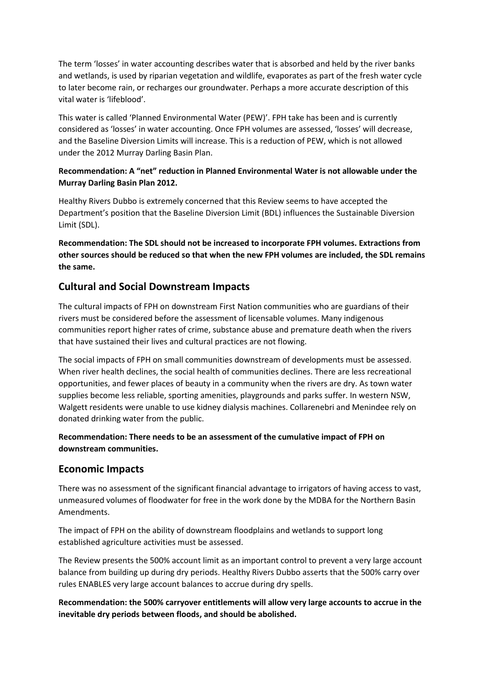The term 'losses' in water accounting describes water that is absorbed and held by the river banks and wetlands, is used by riparian vegetation and wildlife, evaporates as part of the fresh water cycle to later become rain, or recharges our groundwater. Perhaps a more accurate description of this vital water is 'lifeblood'.

This water is called 'Planned Environmental Water (PEW)'. FPH take has been and is currently considered as 'losses' in water accounting. Once FPH volumes are assessed, 'losses' will decrease, and the Baseline Diversion Limits will increase. This is a reduction of PEW, which is not allowed under the 2012 Murray Darling Basin Plan.

#### **Recommendation: A "net" reduction in Planned Environmental Water is not allowable under the Murray Darling Basin Plan 2012.**

Healthy Rivers Dubbo is extremely concerned that this Review seems to have accepted the Department's position that the Baseline Diversion Limit (BDL) influences the Sustainable Diversion Limit (SDL).

**Recommendation: The SDL should not be increased to incorporate FPH volumes. Extractions from other sources should be reduced so that when the new FPH volumes are included, the SDL remains the same.**

### **Cultural and Social Downstream Impacts**

The cultural impacts of FPH on downstream First Nation communities who are guardians of their rivers must be considered before the assessment of licensable volumes. Many indigenous communities report higher rates of crime, substance abuse and premature death when the rivers that have sustained their lives and cultural practices are not flowing.

The social impacts of FPH on small communities downstream of developments must be assessed. When river health declines, the social health of communities declines. There are less recreational opportunities, and fewer places of beauty in a community when the rivers are dry. As town water supplies become less reliable, sporting amenities, playgrounds and parks suffer. In western NSW, Walgett residents were unable to use kidney dialysis machines. Collarenebri and Menindee rely on donated drinking water from the public.

#### **Recommendation: There needs to be an assessment of the cumulative impact of FPH on downstream communities.**

### **Economic Impacts**

There was no assessment of the significant financial advantage to irrigators of having access to vast, unmeasured volumes of floodwater for free in the work done by the MDBA for the Northern Basin Amendments.

The impact of FPH on the ability of downstream floodplains and wetlands to support long established agriculture activities must be assessed.

The Review presents the 500% account limit as an important control to prevent a very large account balance from building up during dry periods. Healthy Rivers Dubbo asserts that the 500% carry over rules ENABLES very large account balances to accrue during dry spells.

**Recommendation: the 500% carryover entitlements will allow very large accounts to accrue in the inevitable dry periods between floods, and should be abolished.**